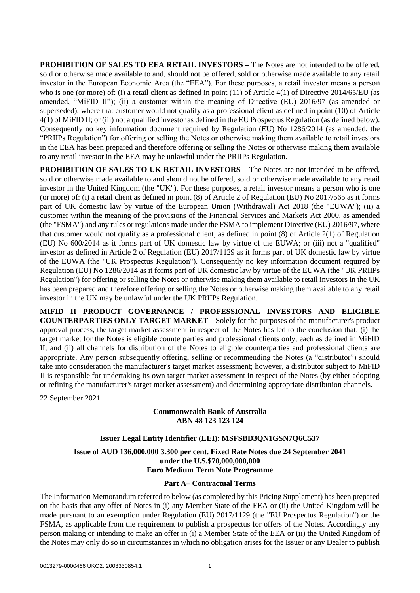**PROHIBITION OF SALES TO EEA RETAIL INVESTORS –** The Notes are not intended to be offered, sold or otherwise made available to and, should not be offered, sold or otherwise made available to any retail investor in the European Economic Area (the "EEA"). For these purposes, a retail investor means a person who is one (or more) of: (i) a retail client as defined in point (11) of Article 4(1) of Directive 2014/65/EU (as amended, "MiFID II"); (ii) a customer within the meaning of Directive (EU) 2016/97 (as amended or superseded), where that customer would not qualify as a professional client as defined in point (10) of Article 4(1) of MiFID II; or (iii) not a qualified investor as defined in the EU Prospectus Regulation (as defined below). Consequently no key information document required by Regulation (EU) No 1286/2014 (as amended, the "PRIIPs Regulation") for offering or selling the Notes or otherwise making them available to retail investors in the EEA has been prepared and therefore offering or selling the Notes or otherwise making them available to any retail investor in the EEA may be unlawful under the PRIIPs Regulation.

**PROHIBITION OF SALES TO UK RETAIL INVESTORS** – The Notes are not intended to be offered. sold or otherwise made available to and should not be offered, sold or otherwise made available to any retail investor in the United Kingdom (the "UK"). For these purposes, a retail investor means a person who is one (or more) of: (i) a retail client as defined in point (8) of Article 2 of Regulation (EU) No  $2017/565$  as it forms part of UK domestic law by virtue of the European Union (Withdrawal) Act 2018 (the "EUWA"); (ii) a customer within the meaning of the provisions of the Financial Services and Markets Act 2000, as amended (the "FSMA") and any rules or regulations made under the FSMA to implement Directive (EU) 2016/97, where that customer would not qualify as a professional client, as defined in point (8) of Article 2(1) of Regulation (EU) No 600/2014 as it forms part of UK domestic law by virtue of the EUWA; or (iii) not a "qualified" investor as defined in Article 2 of Regulation (EU) 2017/1129 as it forms part of UK domestic law by virtue of the EUWA (the "UK Prospectus Regulation"). Consequently no key information document required by Regulation (EU) No 1286/2014 as it forms part of UK domestic law by virtue of the EUWA (the "UK PRIIPs Regulation") for offering or selling the Notes or otherwise making them available to retail investors in the UK has been prepared and therefore offering or selling the Notes or otherwise making them available to any retail investor in the UK may be unlawful under the UK PRIIPs Regulation.

**MIFID II PRODUCT GOVERNANCE / PROFESSIONAL INVESTORS AND ELIGIBLE COUNTERPARTIES ONLY TARGET MARKET** – Solely for the purposes of the manufacturer's product approval process, the target market assessment in respect of the Notes has led to the conclusion that: (i) the target market for the Notes is eligible counterparties and professional clients only, each as defined in MiFID II; and (ii) all channels for distribution of the Notes to eligible counterparties and professional clients are appropriate. Any person subsequently offering, selling or recommending the Notes (a "distributor") should take into consideration the manufacturer's target market assessment; however, a distributor subject to MiFID II is responsible for undertaking its own target market assessment in respect of the Notes (by either adopting or refining the manufacturer's target market assessment) and determining appropriate distribution channels.

22 September 2021

### **Commonwealth Bank of Australia ABN 48 123 123 124**

### **Issuer Legal Entity Identifier (LEI): MSFSBD3QN1GSN7Q6C537**

**Issue of AUD 136,000,000 3.300 per cent. Fixed Rate Notes due 24 September 2041 under the U.S.\$70,000,000,000 Euro Medium Term Note Programme**

### **Part A– Contractual Terms**

The Information Memorandum referred to below (as completed by this Pricing Supplement) has been prepared on the basis that any offer of Notes in (i) any Member State of the EEA or (ii) the United Kingdom will be made pursuant to an exemption under Regulation (EU) 2017/1129 (the "EU Prospectus Regulation") or the FSMA, as applicable from the requirement to publish a prospectus for offers of the Notes. Accordingly any person making or intending to make an offer in (i) a Member State of the EEA or (ii) the United Kingdom of the Notes may only do so in circumstances in which no obligation arises for the Issuer or any Dealer to publish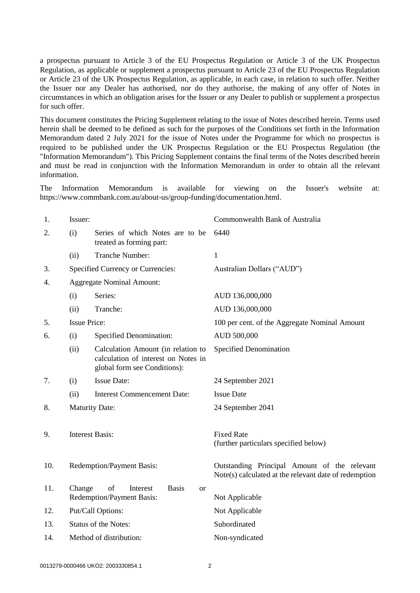a prospectus pursuant to Article 3 of the EU Prospectus Regulation or Article 3 of the UK Prospectus Regulation, as applicable or supplement a prospectus pursuant to Article 23 of the EU Prospectus Regulation or Article 23 of the UK Prospectus Regulation, as applicable, in each case, in relation to such offer. Neither the Issuer nor any Dealer has authorised, nor do they authorise, the making of any offer of Notes in circumstances in which an obligation arises for the Issuer or any Dealer to publish or supplement a prospectus for such offer.

This document constitutes the Pricing Supplement relating to the issue of Notes described herein. Terms used herein shall be deemed to be defined as such for the purposes of the Conditions set forth in the Information Memorandum dated 2 July 2021 for the issue of Notes under the Programme for which no prospectus is required to be published under the UK Prospectus Regulation or the EU Prospectus Regulation (the "Information Memorandum"). This Pricing Supplement contains the final terms of the Notes described herein and must be read in conjunction with the Information Memorandum in order to obtain all the relevant information.

The Information Memorandum is available for viewing on the Issuer's website at: https://www.commbank.com.au/about-us/group-funding/documentation.html.

| 1.  | Issuer:                     |                                                                                                           | Commonwealth Bank of Australia                                                                        |
|-----|-----------------------------|-----------------------------------------------------------------------------------------------------------|-------------------------------------------------------------------------------------------------------|
| 2.  | (i)                         | Series of which Notes are to be<br>treated as forming part:                                               | 6440                                                                                                  |
|     | (ii)                        | Tranche Number:                                                                                           | 1                                                                                                     |
| 3.  |                             | Specified Currency or Currencies:                                                                         | Australian Dollars ("AUD")                                                                            |
| 4.  |                             | <b>Aggregate Nominal Amount:</b>                                                                          |                                                                                                       |
|     | (i)                         | Series:                                                                                                   | AUD 136,000,000                                                                                       |
|     | (ii)                        | Tranche:                                                                                                  | AUD 136,000,000                                                                                       |
| 5.  | <b>Issue Price:</b>         |                                                                                                           | 100 per cent. of the Aggregate Nominal Amount                                                         |
| 6.  | (i)                         | <b>Specified Denomination:</b>                                                                            | AUD 500,000                                                                                           |
|     | (ii)                        | Calculation Amount (in relation to<br>calculation of interest on Notes in<br>global form see Conditions): | Specified Denomination                                                                                |
| 7.  | (i)                         | <b>Issue Date:</b>                                                                                        | 24 September 2021                                                                                     |
|     | (ii)                        | <b>Interest Commencement Date:</b>                                                                        | <b>Issue Date</b>                                                                                     |
| 8.  |                             | <b>Maturity Date:</b>                                                                                     | 24 September 2041                                                                                     |
|     |                             |                                                                                                           |                                                                                                       |
| 9.  |                             | <b>Interest Basis:</b>                                                                                    | <b>Fixed Rate</b>                                                                                     |
|     |                             |                                                                                                           | (further particulars specified below)                                                                 |
| 10. |                             | Redemption/Payment Basis:                                                                                 | Outstanding Principal Amount of the relevant<br>Note(s) calculated at the relevant date of redemption |
| 11. | Change                      | of<br><b>Basis</b><br>Interest<br><sub>or</sub><br>Redemption/Payment Basis:                              | Not Applicable                                                                                        |
| 12. |                             | Put/Call Options:                                                                                         | Not Applicable                                                                                        |
| 13. | <b>Status of the Notes:</b> |                                                                                                           | Subordinated                                                                                          |
| 14. |                             | Method of distribution:                                                                                   | Non-syndicated                                                                                        |
|     |                             |                                                                                                           |                                                                                                       |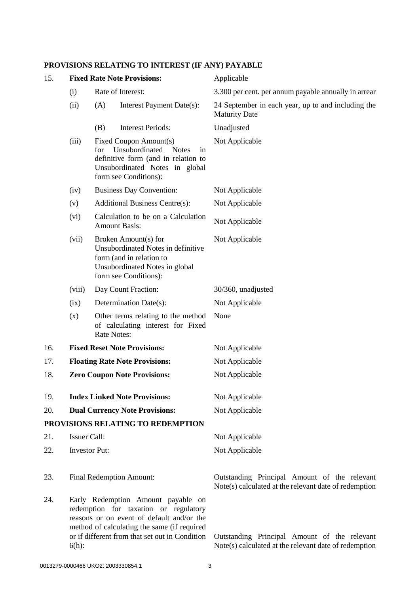# **PROVISIONS RELATING TO INTEREST (IF ANY) PAYABLE**

| 15. | <b>Fixed Rate Note Provisions:</b>                                                                                                                                                                                                    |                                                                                                                                                   | Applicable                                                                                            |
|-----|---------------------------------------------------------------------------------------------------------------------------------------------------------------------------------------------------------------------------------------|---------------------------------------------------------------------------------------------------------------------------------------------------|-------------------------------------------------------------------------------------------------------|
|     | Rate of Interest:<br>(i)                                                                                                                                                                                                              |                                                                                                                                                   | 3.300 per cent. per annum payable annually in arrear                                                  |
|     | (ii)                                                                                                                                                                                                                                  | Interest Payment Date(s):<br>(A)                                                                                                                  | 24 September in each year, up to and including the<br><b>Maturity Date</b>                            |
|     |                                                                                                                                                                                                                                       | <b>Interest Periods:</b><br>(B)                                                                                                                   | Unadjusted                                                                                            |
|     | (iii)<br>Fixed Coupon Amount(s)<br>Unsubordinated<br><b>Notes</b><br>for<br>in<br>definitive form (and in relation to<br>Unsubordinated Notes in global<br>form see Conditions):                                                      |                                                                                                                                                   | Not Applicable                                                                                        |
|     | (iv)                                                                                                                                                                                                                                  | <b>Business Day Convention:</b>                                                                                                                   | Not Applicable                                                                                        |
|     | (v)                                                                                                                                                                                                                                   | <b>Additional Business Centre(s):</b>                                                                                                             | Not Applicable                                                                                        |
|     | (vi)                                                                                                                                                                                                                                  | Calculation to be on a Calculation<br><b>Amount Basis:</b>                                                                                        | Not Applicable                                                                                        |
|     | (vii)                                                                                                                                                                                                                                 | Broken Amount(s) for<br>Unsubordinated Notes in definitive<br>form (and in relation to<br>Unsubordinated Notes in global<br>form see Conditions): | Not Applicable                                                                                        |
|     | (viii)                                                                                                                                                                                                                                | Day Count Fraction:                                                                                                                               | 30/360, unadjusted                                                                                    |
|     | (ix)                                                                                                                                                                                                                                  | Determination Date(s):                                                                                                                            | Not Applicable                                                                                        |
|     | (x)                                                                                                                                                                                                                                   | Other terms relating to the method<br>of calculating interest for Fixed<br><b>Rate Notes:</b>                                                     | None                                                                                                  |
| 16. | <b>Fixed Reset Note Provisions:</b>                                                                                                                                                                                                   |                                                                                                                                                   | Not Applicable                                                                                        |
| 17. | <b>Floating Rate Note Provisions:</b>                                                                                                                                                                                                 |                                                                                                                                                   | Not Applicable                                                                                        |
| 18. | <b>Zero Coupon Note Provisions:</b>                                                                                                                                                                                                   |                                                                                                                                                   | Not Applicable                                                                                        |
| 19. |                                                                                                                                                                                                                                       | <b>Index Linked Note Provisions:</b>                                                                                                              | Not Applicable                                                                                        |
| 20. |                                                                                                                                                                                                                                       | <b>Dual Currency Note Provisions:</b>                                                                                                             | Not Applicable                                                                                        |
|     |                                                                                                                                                                                                                                       | PROVISIONS RELATING TO REDEMPTION                                                                                                                 |                                                                                                       |
| 21. | <b>Issuer Call:</b>                                                                                                                                                                                                                   |                                                                                                                                                   | Not Applicable                                                                                        |
| 22. | <b>Investor Put:</b>                                                                                                                                                                                                                  |                                                                                                                                                   | Not Applicable                                                                                        |
| 23. | <b>Final Redemption Amount:</b>                                                                                                                                                                                                       |                                                                                                                                                   | Outstanding Principal Amount of the relevant<br>Note(s) calculated at the relevant date of redemption |
| 24. | Early Redemption Amount payable on<br>redemption for taxation or regulatory<br>reasons or on event of default and/or the<br>method of calculating the same (if required<br>or if different from that set out in Condition<br>$6(h)$ : |                                                                                                                                                   | Outstanding Principal Amount of the relevant<br>Note(s) calculated at the relevant date of redemption |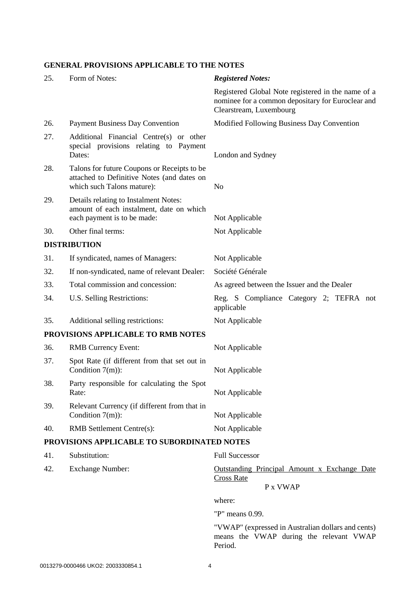## **GENERAL PROVISIONS APPLICABLE TO THE NOTES**

| 25. | Form of Notes:                                                                                                          | <b>Registered Notes:</b>                                                                                                           |
|-----|-------------------------------------------------------------------------------------------------------------------------|------------------------------------------------------------------------------------------------------------------------------------|
|     |                                                                                                                         | Registered Global Note registered in the name of a<br>nominee for a common depositary for Euroclear and<br>Clearstream, Luxembourg |
| 26. | <b>Payment Business Day Convention</b>                                                                                  | Modified Following Business Day Convention                                                                                         |
| 27. | Additional Financial Centre(s) or other<br>special provisions relating to Payment<br>Dates:                             | London and Sydney                                                                                                                  |
| 28. | Talons for future Coupons or Receipts to be<br>attached to Definitive Notes (and dates on<br>which such Talons mature): | N <sub>o</sub>                                                                                                                     |
| 29. | Details relating to Instalment Notes:<br>amount of each instalment, date on which<br>each payment is to be made:        | Not Applicable                                                                                                                     |
| 30. | Other final terms:                                                                                                      | Not Applicable                                                                                                                     |
|     | <b>DISTRIBUTION</b>                                                                                                     |                                                                                                                                    |
| 31. | If syndicated, names of Managers:                                                                                       | Not Applicable                                                                                                                     |
| 32. | If non-syndicated, name of relevant Dealer:                                                                             | Société Générale                                                                                                                   |
| 33. | Total commission and concession:                                                                                        | As agreed between the Issuer and the Dealer                                                                                        |
| 34. | U.S. Selling Restrictions:                                                                                              | Reg. S Compliance Category 2; TEFRA not<br>applicable                                                                              |
| 35. | Additional selling restrictions:                                                                                        | Not Applicable                                                                                                                     |
|     | PROVISIONS APPLICABLE TO RMB NOTES                                                                                      |                                                                                                                                    |
| 36. | <b>RMB Currency Event:</b>                                                                                              | Not Applicable                                                                                                                     |
| 37. | Spot Rate (if different from that set out in<br>Condition $7(m)$ :                                                      | Not Applicable                                                                                                                     |
| 38. | Party responsible for calculating the Spot<br>Rate:                                                                     | Not Applicable                                                                                                                     |
| 39. | Relevant Currency (if different from that in<br>Condition $7(m)$ :                                                      | Not Applicable                                                                                                                     |
| 40. | RMB Settlement Centre(s):                                                                                               | Not Applicable                                                                                                                     |
|     | PROVISIONS APPLICABLE TO SUBORDINATED NOTES                                                                             |                                                                                                                                    |
| 41. | Substitution:                                                                                                           | <b>Full Successor</b>                                                                                                              |
| 42. | <b>Exchange Number:</b>                                                                                                 | <b>Outstanding Principal Amount x Exchange Date</b><br><b>Cross Rate</b><br>P x VWAP                                               |

where:

"P" means 0.99.

"VWAP" (expressed in Australian dollars and cents) means the VWAP during the relevant VWAP Period.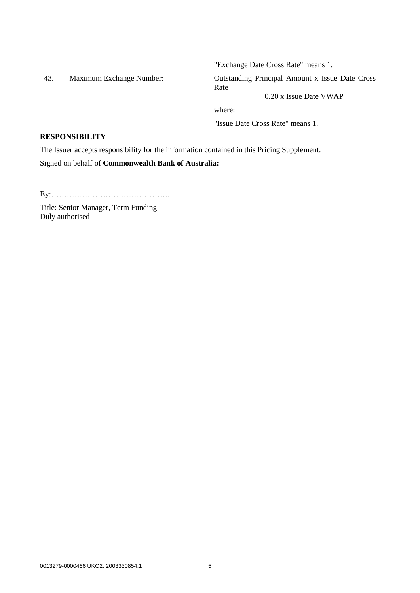"Exchange Date Cross Rate" means 1.

43. Maximum Exchange Number: Outstanding Principal Amount x Issue Date Cross Rate

0.20 x Issue Date VWAP

where:

"Issue Date Cross Rate" means 1.

#### **RESPONSIBILITY**

The Issuer accepts responsibility for the information contained in this Pricing Supplement.

Signed on behalf of **Commonwealth Bank of Australia:**

By:……………………………………….

Title: Senior Manager, Term Funding Duly authorised